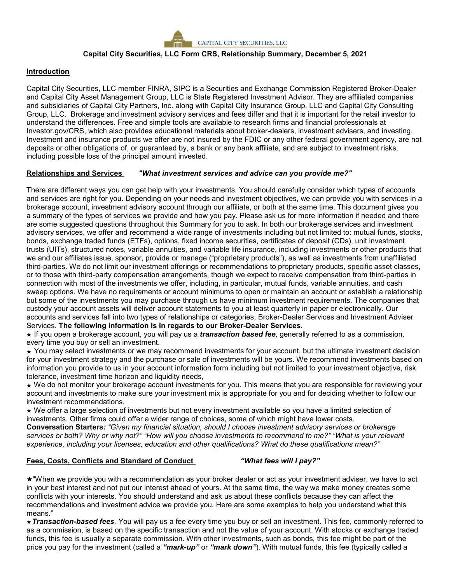

### **Capital City Securities, LLC Form CRS, Relationship Summary, December 5, 2021**

### **Introduction**

Capital City Securities, LLC member FINRA, SIPC is a Securities and Exchange Commission Registered Broker-Dealer and Capital City Asset Management Group, LLC is State Registered Investment Advisor. They are affiliated companies and subsidiaries of Capital City Partners, Inc. along with Capital City Insurance Group, LLC and Capital City Consulting Group, LLC. Brokerage and investment advisory services and fees differ and that it is important for the retail investor to understand the differences. Free and simple tools are available to research firms and financial professionals at Investor.gov/CRS, which also provides educational materials about broker-dealers, investment advisers, and investing. Investment and insurance products we offer are not insured by the FDIC or any other federal government agency, are not deposits or other obligations of, or guaranteed by, a bank or any bank affiliate, and are subject to investment risks, including possible loss of the principal amount invested.

#### **Relationships and Services** *"What investment services and advice can you provide me?"*

There are different ways you can get help with your investments. You should carefully consider which types of accounts and services are right for you. Depending on your needs and investment objectives, we can provide you with services in a brokerage account, investment advisory account through our affiliate, or both at the same time. This document gives you a summary of the types of services we provide and how you pay. Please ask us for more information if needed and there are some suggested questions throughout this Summary for you to ask. In both our brokerage services and investment advisory services, we offer and recommend a wide range of investments including but not limited to: mutual funds, stocks, bonds, exchange traded funds (ETFs), options, fixed income securities, certificates of deposit (CDs), unit investment trusts (UITs), structured notes, variable annuities, and variable life insurance, including investments or other products that we and our affiliates issue, sponsor, provide or manage ("proprietary products"), as well as investments from unaffiliated third-parties. We do not limit our investment offerings or recommendations to proprietary products, specific asset classes, or to those with third-party compensation arrangements, though we expect to receive compensation from third-parties in connection with most of the investments we offer, including, in particular, mutual funds, variable annuities, and cash sweep options. We have no requirements or account minimums to open or maintain an account or establish a relationship but some of the investments you may purchase through us have minimum investment requirements. The companies that custody your account assets will deliver account statements to you at least quarterly in paper or electronically. Our accounts and services fall into two types of relationships or categories, Broker-Dealer Services and Investment Adviser Services. **The following information is in regards to our Broker-Dealer Services.**

★ If you open a brokerage account, you will pay us a *transaction based fee*, generally referred to as a commission, every time you buy or sell an investment.

★ You may select investments or we may recommend investments for your account, but the ultimate investment decision for your investment strategy and the purchase or sale of investments will be yours. We recommend investments based on information you provide to us in your account information form including but not limited to your investment objective, risk tolerance, investment time horizon and liquidity needs,

★ We do not monitor your brokerage account investments for you. This means that you are responsible for reviewing your account and investments to make sure your investment mix is appropriate for you and for deciding whether to follow our investment recommendations.

★ We offer a large selection of investments but not every investment available so you have a limited selection of investments. Other firms could offer a wider range of choices, some of which might have lower costs.

**Conversation Starters***: "Given my financial situation, should I choose investment advisory services or brokerage services or both? Why or why not?" "How will you choose investments to recommend to me?" "What is your relevant experience, including your licenses, education and other qualifications? What do these qualifications mean?"*

# **Fees, Costs, Conflicts and Standard of Conduct** *"What fees will I pay?"*

★"When we provide you with a recommendation as your broker dealer or act as your investment adviser, we have to act in your best interest and not put our interest ahead of yours. At the same time, the way we make money creates some conflicts with your interests. You should understand and ask us about these conflicts because they can affect the recommendations and investment advice we provide you. Here are some examples to help you understand what this means."

★*Transaction-based fees.* You will pay us a fee every time you buy or sell an investment. This fee, commonly referred to as a commission, is based on the specific transaction and not the value of your account. With stocks or exchange traded funds, this fee is usually a separate commission. With other investments, such as bonds, this fee might be part of the price you pay for the investment (called a *"mark-up"* or *"mark down"*). With mutual funds, this fee (typically called a